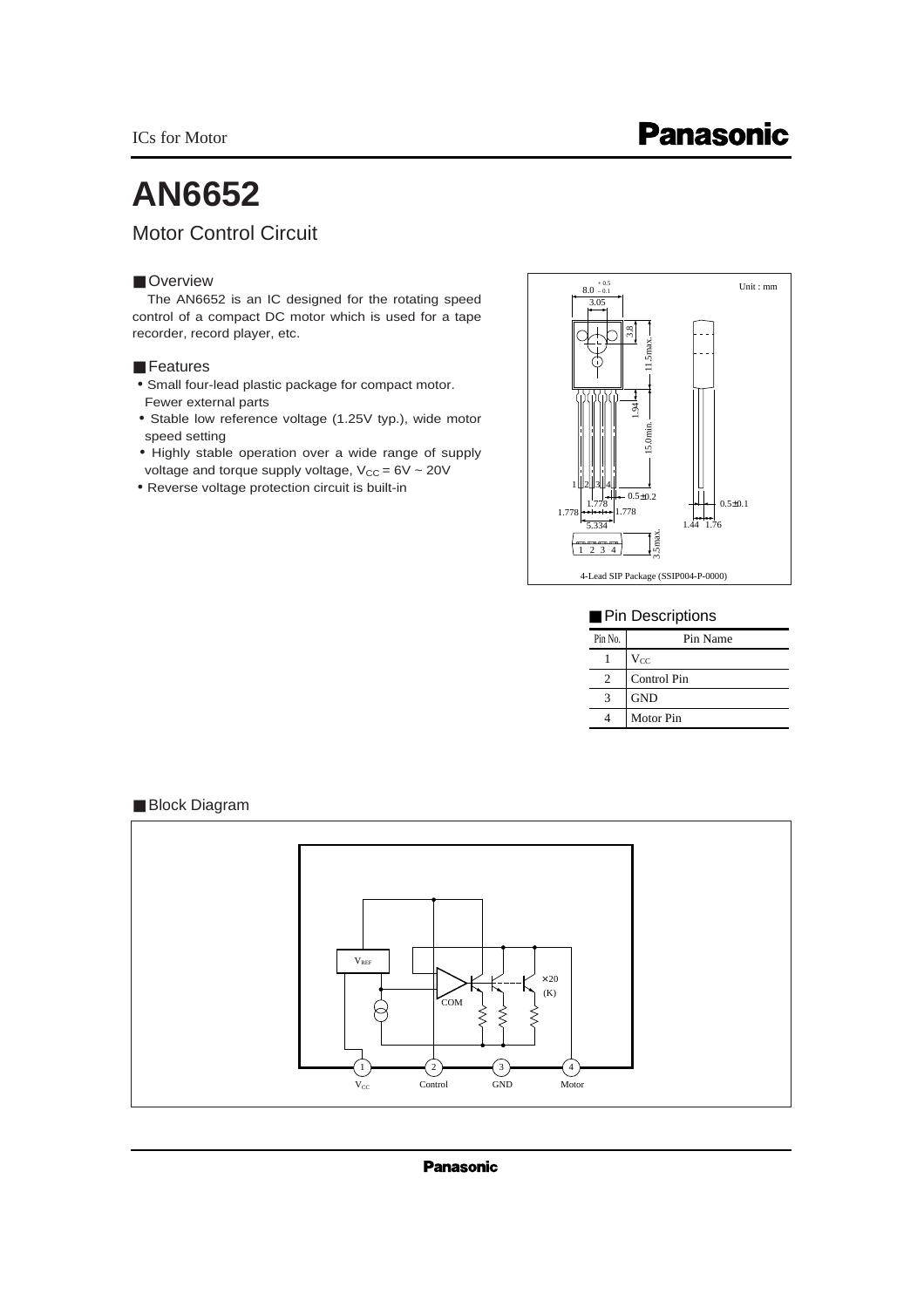ICs for Motor

# **AN6652**

## Motor Control Circuit

### ■ Overview

The AN6652 is an IC designed for the rotating speed control of a compact DC motor which is used for a tape recorder, record player, etc.

### ■ Features

- Small four-lead plastic package for compact motor. Fewer external parts
- Stable low reference voltage (1.25V typ.), wide motor speed setting
- Highly stable operation over a wide range of supply voltage and torque supply voltage,  $V_{CC} = 6V \sim 20V$
- Reverse voltage protection circuit is built-in



### ■ Pin Descriptions

| Pin No. | Pin Name    |
|---------|-------------|
|         | $V_{CC}$    |
| 2       | Control Pin |
|         | <b>GND</b>  |
|         | Motor Pin   |

### ■ Block Diagram